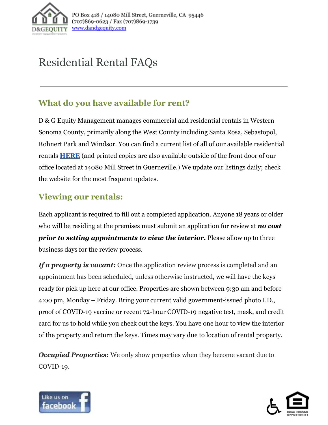

# Residential Rental FAQs

#### **What do you have available for rent?**

D & G Equity Management manages commercial and residential rentals in Western Sonoma County, primarily along the West County including Santa Rosa, Sebastopol, Rohnert Park and Windsor. You can find a current list of all of our available residential rentals **[HERE](https://www.dandgequity.com/residential-properties/)** (and printed copies are also available outside of the front door of our office located at 14080 Mill Street in Guerneville.) We update our listings daily; check the website for the most frequent updates.

#### **Viewing our rentals:**

Each applicant is required to fill out a completed application. Anyone 18 years or older who will be residing at the premises must submit an application for review at *no cost prior to setting appointments to view the interior.* Please allow up to three business days for the review process.

*If a property is vacant:* Once the application review process is completed and an appointment has been scheduled, unless otherwise instructed, we will have the keys ready for pick up here at our office. Properties are shown between 9:30 am and before 4:00 pm, Monday – Friday. Bring your current valid government-issued photo I.D., proof of COVID-19 vaccine or recent 72-hour COVID-19 negative test, mask, and credit card for us to hold while you check out the keys. You have one hour to view the interior of the property and return the keys. Times may vary due to location of rental property.

*Occupied Properties:* We only show properties when they become vacant due to COVID-19.



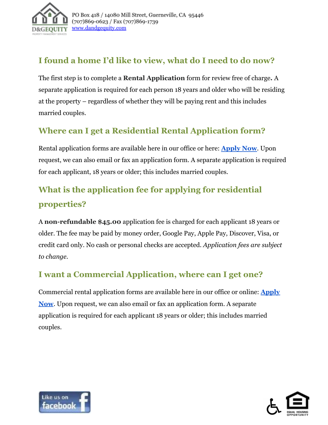

#### **I found a home I'd like to view, what do I need to do now?**

The first step is to complete a **Rental Application** form for review free of charge**.** A separate application is required for each person 18 years and older who will be residing at the property – regardless of whether they will be paying rent and this includes married couples.

#### **Where can I get a Residential Rental Application form?**

Rental application forms are available here in our office or here: **[Apply Now](https://www.dandgequity.com/apply-now/)**. Upon request, we can also email or fax an application form. A separate application is required for each applicant, 18 years or older; this includes married couples.

### **What is the application fee for applying for residential properties?**

A **non-refundable \$45.00** application fee is charged for each applicant 18 years or older. The fee may be paid by money order, Google Pay, Apple Pay, Discover, Visa, or credit card only. No cash or personal checks are accepted. *Application fees are subject to change.*

#### **I want a Commercial Application, where can I get one?**

Commercial rental application forms are available here in our office or online: **[Apply](https://www.dandgequity.com/apply-now/) [Now](https://www.dandgequity.com/apply-now/)**. Upon request, we can also email or fax an application form. A separate application is required for each applicant 18 years or older; this includes married couples.



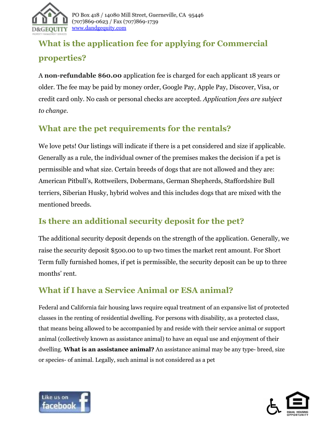

# **What is the application fee for applying for Commercial properties?**

A **non-refundable \$60.00** application fee is charged for each applicant 18 years or older. The fee may be paid by money order, Google Pay, Apple Pay, Discover, Visa, or credit card only. No cash or personal checks are accepted. *Application fees are subject to change.*

#### **What are the pet requirements for the rentals?**

We love pets! Our listings will indicate if there is a pet considered and size if applicable. Generally as a rule, the individual owner of the premises makes the decision if a pet is permissible and what size. Certain breeds of dogs that are not allowed and they are: American Pitbull's, Rottweilers, Dobermans, German Shepherds, Staffordshire Bull terriers, Siberian Husky, hybrid wolves and this includes dogs that are mixed with the mentioned breeds.

#### **Is there an additional security deposit for the pet?**

The additional security deposit depends on the strength of the application. Generally, we raise the security deposit \$500.00 to up two times the market rent amount. For Short Term fully furnished homes, if pet is permissible, the security deposit can be up to three months' rent.

#### **What if I have a Service Animal or ESA animal?**

Federal and California fair housing laws require equal treatment of an expansive list of protected classes in the renting of residential dwelling. For persons with disability, as a protected class, that means being allowed to be accompanied by and reside with their service animal or support animal (collectively known as assistance animal) to have an equal use and enjoyment of their dwelling. **What is an assistance animal?** An assistance animal may be any type- breed, size or species- of animal. Legally, such animal is not considered as a pet



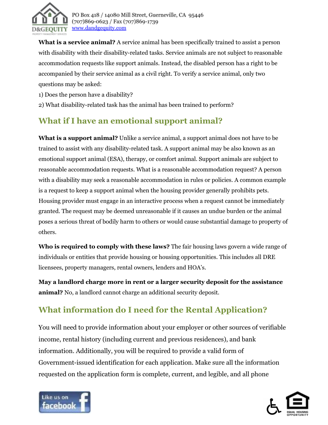

**What is a service animal?** A service animal has been specifically trained to assist a person with disability with their disability-related tasks. Service animals are not subject to reasonable accommodation requests like support animals. Instead, the disabled person has a right to be accompanied by their service animal as a civil right. To verify a service animal, only two questions may be asked:

- 1) Does the person have a disability?
- 2) What disability-related task has the animal has been trained to perform?

#### **What if I have an emotional support animal?**

**What is a support animal?** Unlike a service animal, a support animal does not have to be trained to assist with any disability-related task. A support animal may be also known as an emotional support animal (ESA), therapy, or comfort animal. Support animals are subject to reasonable accommodation requests. What is a reasonable accommodation request? A person with a disability may seek a reasonable accommodation in rules or policies. A common example is a request to keep a support animal when the housing provider generally prohibits pets. Housing provider must engage in an interactive process when a request cannot be immediately granted. The request may be deemed unreasonable if it causes an undue burden or the animal poses a serious threat of bodily harm to others or would cause substantial damage to property of others.

**Who is required to comply with these laws?** The fair housing laws govern a wide range of individuals or entities that provide housing or housing opportunities. This includes all DRE licensees, property managers, rental owners, lenders and HOA's.

**May a landlord charge more in rent or a larger security deposit for the assistance animal?** No, a landlord cannot charge an additional security deposit.

#### **What information do I need for the Rental Application?**

You will need to provide information about your employer or other sources of verifiable income, rental history (including current and previous residences), and bank information. Additionally, you will be required to provide a valid form of Government-issued identification for each application. Make sure all the information requested on the application form is complete, current, and legible, and all phone



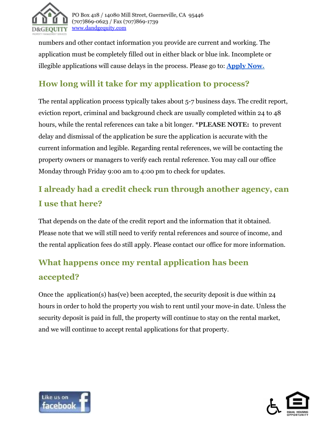

numbers and other contact information you provide are current and working. The application must be completely filled out in either black or blue ink. Incomplete or illegible applications will cause delays in the process. Please go to: **[Apply Now](https://www.dandgequity.com/apply-now/).**

#### **How long will it take for my application to process?**

The rental application process typically takes about 5-7 business days. The credit report, eviction report, criminal and background check are usually completed within 24 to 48 hours, while the rental references can take a bit longer. **\*PLEASE NOTE:** to prevent delay and dismissal of the application be sure the application is accurate with the current information and legible. Regarding rental references, we will be contacting the property owners or managers to verify each rental reference. You may call our office Monday through Friday 9:00 am to 4:00 pm to check for updates.

# **I already had a credit check run through another agency, can I use that here?**

That depends on the date of the credit report and the information that it obtained. Please note that we will still need to verify rental references and source of income, and the rental application fees do still apply. Please contact our office for more information.

### **What happens once my rental application has been accepted?**

Once the application(s) has(ve) been accepted, the security deposit is due within 24 hours in order to hold the property you wish to rent until your move-in date. Unless the security deposit is paid in full, the property will continue to stay on the rental market, and we will continue to accept rental applications for that property.